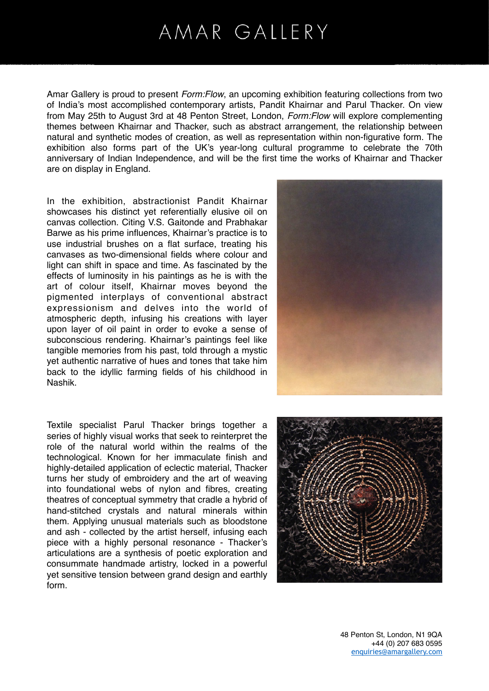## AMAR GALLERY

Amar Gallery is proud to present *Form:Flow*, an upcoming exhibition featuring collections from two of India's most accomplished contemporary artists, Pandit Khairnar and Parul Thacker. On view from May 25th to August 3rd at 48 Penton Street, London, *Form:Flow* will explore complementing themes between Khairnar and Thacker, such as abstract arrangement, the relationship between natural and synthetic modes of creation, as well as representation within non-figurative form. The exhibition also forms part of the UK's year-long cultural programme to celebrate the 70th anniversary of Indian Independence, and will be the first time the works of Khairnar and Thacker are on display in England.

In the exhibition, abstractionist Pandit Khairnar showcases his distinct yet referentially elusive oil on canvas collection. Citing V.S. Gaitonde and Prabhakar Barwe as his prime influences, Khairnar's practice is to use industrial brushes on a flat surface, treating his canvases as two-dimensional fields where colour and light can shift in space and time. As fascinated by the effects of luminosity in his paintings as he is with the art of colour itself, Khairnar moves beyond the pigmented interplays of conventional abstract expressionism and delves into the world of atmospheric depth, infusing his creations with layer upon layer of oil paint in order to evoke a sense of subconscious rendering. Khairnar's paintings feel like tangible memories from his past, told through a mystic yet authentic narrative of hues and tones that take him back to the idyllic farming fields of his childhood in Nashik.

Textile specialist Parul Thacker brings together a series of highly visual works that seek to reinterpret the role of the natural world within the realms of the technological. Known for her immaculate finish and highly-detailed application of eclectic material, Thacker turns her study of embroidery and the art of weaving into foundational webs of nylon and fibres, creating theatres of conceptual symmetry that cradle a hybrid of hand-stitched crystals and natural minerals within them. Applying unusual materials such as bloodstone and ash - collected by the artist herself, infusing each piece with a highly personal resonance - Thacker's articulations are a synthesis of poetic exploration and consummate handmade artistry, locked in a powerful yet sensitive tension between grand design and earthly form.